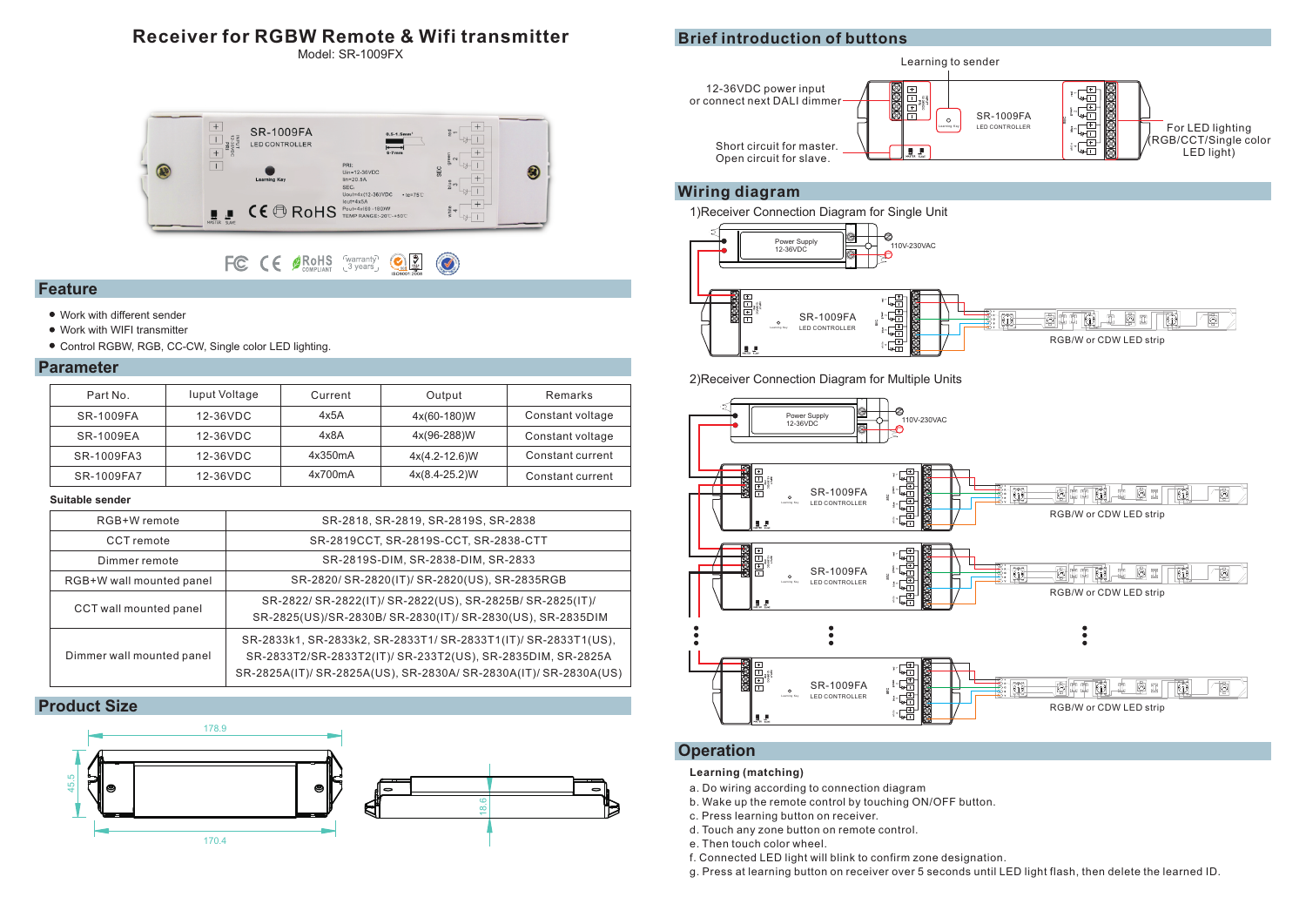# **Receiver for RGBW Remote & Wifi transmitter**

Model: SR-1009FX



#### FC CE SROHS Warranty CE  $\bigcirc$

## **Feature**

- Work with different sender
- Work with WIFI transmitter
- Control RGBW, RGB, CC-CW, Single color LED lighting.

### **Parameter**

| Part No.   | luput Voltage | Current | Output            | Remarks          |
|------------|---------------|---------|-------------------|------------------|
| SR-1009FA  | 12-36VDC      | 4x5A    | 4x(60-180)W       | Constant voltage |
| SR-1009EA  | 12-36VDC      | 4x8A    | 4x(96-288)W       | Constant voltage |
| SR-1009FA3 | 12-36VDC      | 4x350mA | $4x(4.2 - 12.6)W$ | Constant current |
| SR-1009FA7 | 12-36VDC      | 4x700mA | $4x(8.4-25.2)W$   | Constant current |

### **Suitable sender**

| RGB+W remote              | SR-2818, SR-2819, SR-2819S, SR-2838                                                                                                                                                               |
|---------------------------|---------------------------------------------------------------------------------------------------------------------------------------------------------------------------------------------------|
| CCT remote                | SR-2819CCT, SR-2819S-CCT, SR-2838-CTT                                                                                                                                                             |
| Dimmer remote             | SR-2819S-DIM, SR-2838-DIM, SR-2833                                                                                                                                                                |
| RGB+W wall mounted panel  | SR-2820/ SR-2820(IT)/ SR-2820(US), SR-2835RGB                                                                                                                                                     |
| CCT wall mounted panel    | SR-2822/ SR-2822(IT)/ SR-2822(US), SR-2825B/ SR-2825(IT)/<br>SR-2825(US)/SR-2830B/ SR-2830(IT)/ SR-2830(US), SR-2835DIM                                                                           |
| Dimmer wall mounted panel | SR-2833k1, SR-2833k2, SR-2833T1/ SR-2833T1(IT)/ SR-2833T1(US),<br>SR-2833T2/SR-2833T2(IT)/ SR-233T2(US), SR-2835DIM, SR-2825A<br>SR-2825A(IT)/ SR-2825A(US), SR-2830A/ SR-2830A(IT)/ SR-2830A(US) |

### **Product Size**



# **Brief introduction of buttons**



### **Wiring diagram**





2)Receiver Connection Diagram for Multiple Units



# **Operation**

### **Learning (matching)**

- a. Do wiring according to connection diagram
- b. Wake up the remote control by touching ON/OFF button.
- c. Press learning button on receiver.
- d. Touch any zone button on remote control.
- e. Then touch color wheel.
- f. Connected LED light will blink to confirm zone designation.
- g. Press at learning button on receiver over 5 seconds until LED light flash, then delete the learned ID.